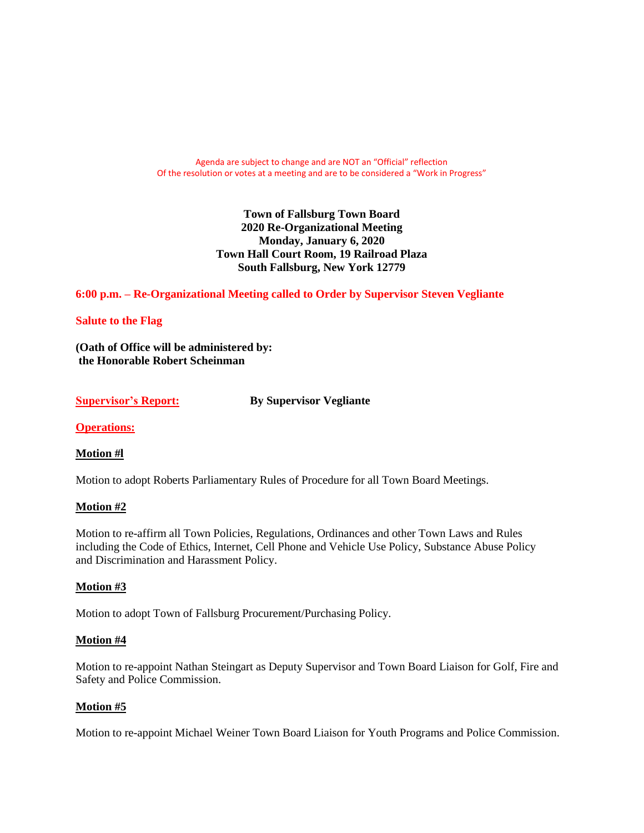Agenda are subject to change and are NOT an "Official" reflection Of the resolution or votes at a meeting and are to be considered a "Work in Progress"

> **Town of Fallsburg Town Board 2020 Re-Organizational Meeting Monday, January 6, 2020 Town Hall Court Room, 19 Railroad Plaza South Fallsburg, New York 12779**

**6:00 p.m. – Re-Organizational Meeting called to Order by Supervisor Steven Vegliante**

#### **Salute to the Flag**

**(Oath of Office will be administered by: the Honorable Robert Scheinman**

**Supervisor's Report: By Supervisor Vegliante**

**Operations:**

#### **Motion #l**

Motion to adopt Roberts Parliamentary Rules of Procedure for all Town Board Meetings.

#### **Motion #2**

Motion to re-affirm all Town Policies, Regulations, Ordinances and other Town Laws and Rules including the Code of Ethics, Internet, Cell Phone and Vehicle Use Policy, Substance Abuse Policy and Discrimination and Harassment Policy.

## **Motion #3**

Motion to adopt Town of Fallsburg Procurement/Purchasing Policy.

#### **Motion #4**

Motion to re-appoint Nathan Steingart as Deputy Supervisor and Town Board Liaison for Golf, Fire and Safety and Police Commission.

#### **Motion #5**

Motion to re-appoint Michael Weiner Town Board Liaison for Youth Programs and Police Commission.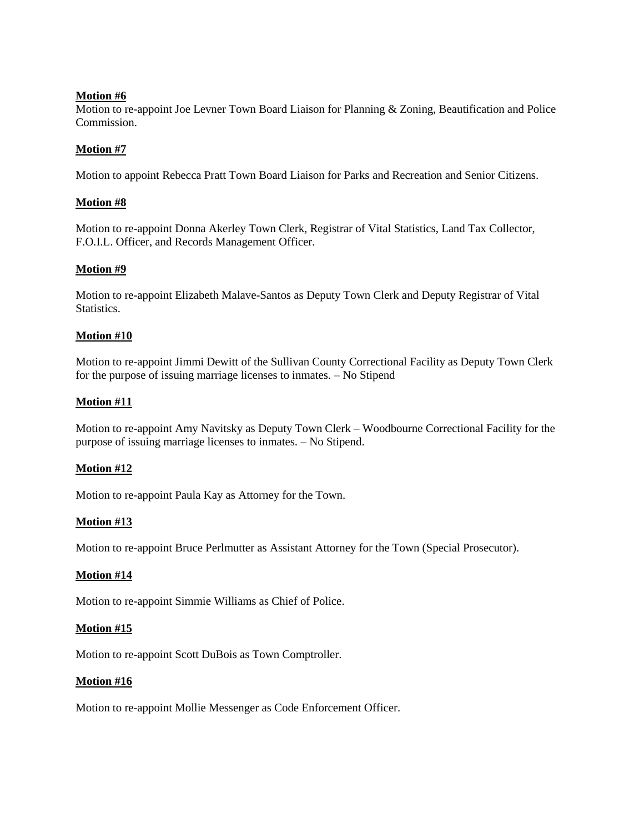Motion to re-appoint Joe Levner Town Board Liaison for Planning & Zoning, Beautification and Police Commission.

# **Motion #7**

Motion to appoint Rebecca Pratt Town Board Liaison for Parks and Recreation and Senior Citizens.

# **Motion #8**

Motion to re-appoint Donna Akerley Town Clerk, Registrar of Vital Statistics, Land Tax Collector, F.O.I.L. Officer, and Records Management Officer.

# **Motion #9**

Motion to re-appoint Elizabeth Malave-Santos as Deputy Town Clerk and Deputy Registrar of Vital Statistics.

# **Motion #10**

Motion to re-appoint Jimmi Dewitt of the Sullivan County Correctional Facility as Deputy Town Clerk for the purpose of issuing marriage licenses to inmates. – No Stipend

# **Motion #11**

Motion to re-appoint Amy Navitsky as Deputy Town Clerk – Woodbourne Correctional Facility for the purpose of issuing marriage licenses to inmates. – No Stipend.

## **Motion #12**

Motion to re-appoint Paula Kay as Attorney for the Town.

## **Motion #13**

Motion to re-appoint Bruce Perlmutter as Assistant Attorney for the Town (Special Prosecutor).

## **Motion #14**

Motion to re-appoint Simmie Williams as Chief of Police.

## **Motion #15**

Motion to re-appoint Scott DuBois as Town Comptroller.

## **Motion #16**

Motion to re-appoint Mollie Messenger as Code Enforcement Officer.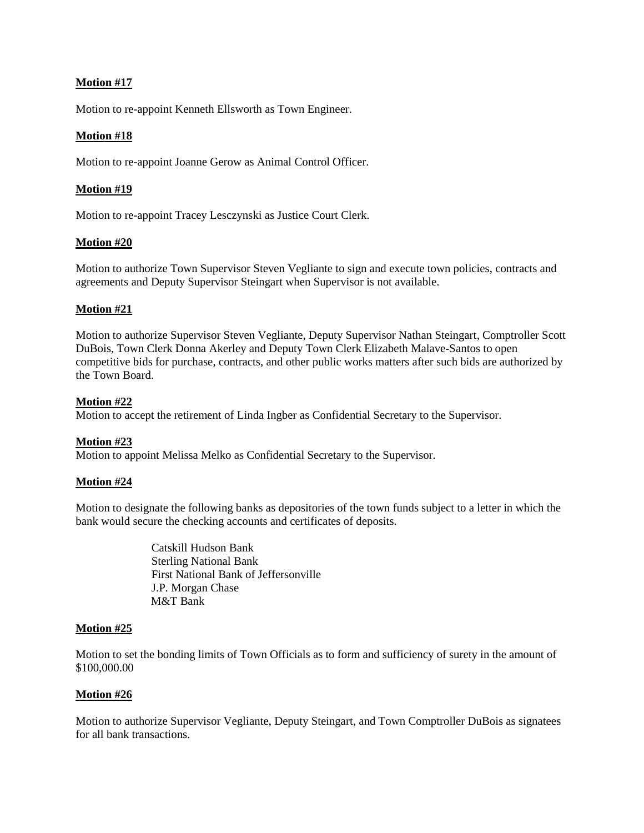Motion to re-appoint Kenneth Ellsworth as Town Engineer.

## **Motion #18**

Motion to re-appoint Joanne Gerow as Animal Control Officer.

#### **Motion #19**

Motion to re-appoint Tracey Lesczynski as Justice Court Clerk.

## **Motion #20**

Motion to authorize Town Supervisor Steven Vegliante to sign and execute town policies, contracts and agreements and Deputy Supervisor Steingart when Supervisor is not available.

## **Motion #21**

Motion to authorize Supervisor Steven Vegliante, Deputy Supervisor Nathan Steingart, Comptroller Scott DuBois, Town Clerk Donna Akerley and Deputy Town Clerk Elizabeth Malave-Santos to open competitive bids for purchase, contracts, and other public works matters after such bids are authorized by the Town Board.

#### **Motion #22**

Motion to accept the retirement of Linda Ingber as Confidential Secretary to the Supervisor.

## **Motion #23**

Motion to appoint Melissa Melko as Confidential Secretary to the Supervisor.

#### **Motion #24**

Motion to designate the following banks as depositories of the town funds subject to a letter in which the bank would secure the checking accounts and certificates of deposits.

> Catskill Hudson Bank Sterling National Bank First National Bank of Jeffersonville J.P. Morgan Chase M&T Bank

## **Motion #25**

Motion to set the bonding limits of Town Officials as to form and sufficiency of surety in the amount of \$100,000.00

## **Motion #26**

Motion to authorize Supervisor Vegliante, Deputy Steingart, and Town Comptroller DuBois as signatees for all bank transactions.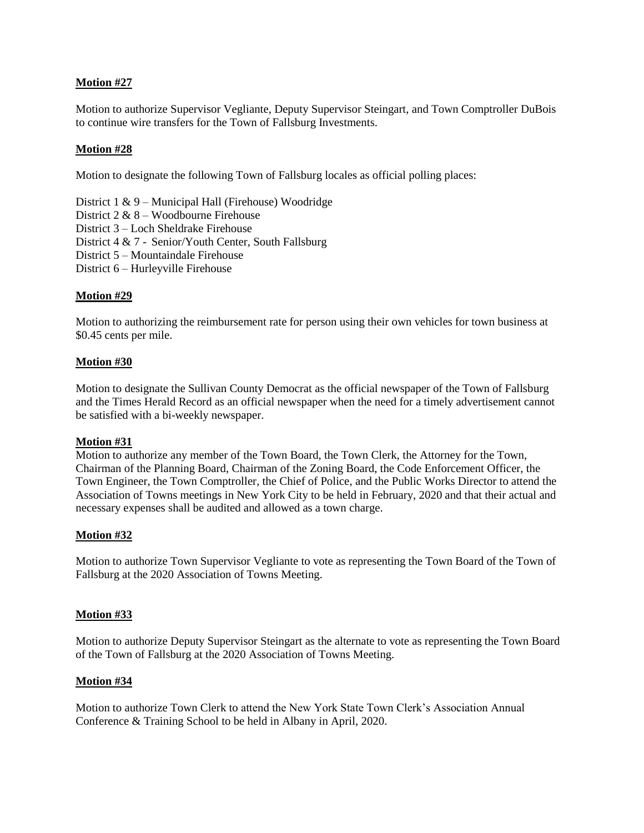Motion to authorize Supervisor Vegliante, Deputy Supervisor Steingart, and Town Comptroller DuBois to continue wire transfers for the Town of Fallsburg Investments.

## **Motion #28**

Motion to designate the following Town of Fallsburg locales as official polling places:

District 1 & 9 – Municipal Hall (Firehouse) Woodridge District 2 & 8 – Woodbourne Firehouse District 3 – Loch Sheldrake Firehouse District 4 & 7 - Senior/Youth Center, South Fallsburg District 5 – Mountaindale Firehouse District 6 – Hurleyville Firehouse

## **Motion #29**

Motion to authorizing the reimbursement rate for person using their own vehicles for town business at \$0.45 cents per mile.

#### **Motion #30**

Motion to designate the Sullivan County Democrat as the official newspaper of the Town of Fallsburg and the Times Herald Record as an official newspaper when the need for a timely advertisement cannot be satisfied with a bi-weekly newspaper.

#### **Motion #31**

Motion to authorize any member of the Town Board, the Town Clerk, the Attorney for the Town, Chairman of the Planning Board, Chairman of the Zoning Board, the Code Enforcement Officer, the Town Engineer, the Town Comptroller, the Chief of Police, and the Public Works Director to attend the Association of Towns meetings in New York City to be held in February, 2020 and that their actual and necessary expenses shall be audited and allowed as a town charge.

## **Motion #32**

Motion to authorize Town Supervisor Vegliante to vote as representing the Town Board of the Town of Fallsburg at the 2020 Association of Towns Meeting.

#### **Motion #33**

Motion to authorize Deputy Supervisor Steingart as the alternate to vote as representing the Town Board of the Town of Fallsburg at the 2020 Association of Towns Meeting.

#### **Motion #34**

Motion to authorize Town Clerk to attend the New York State Town Clerk's Association Annual Conference & Training School to be held in Albany in April, 2020.